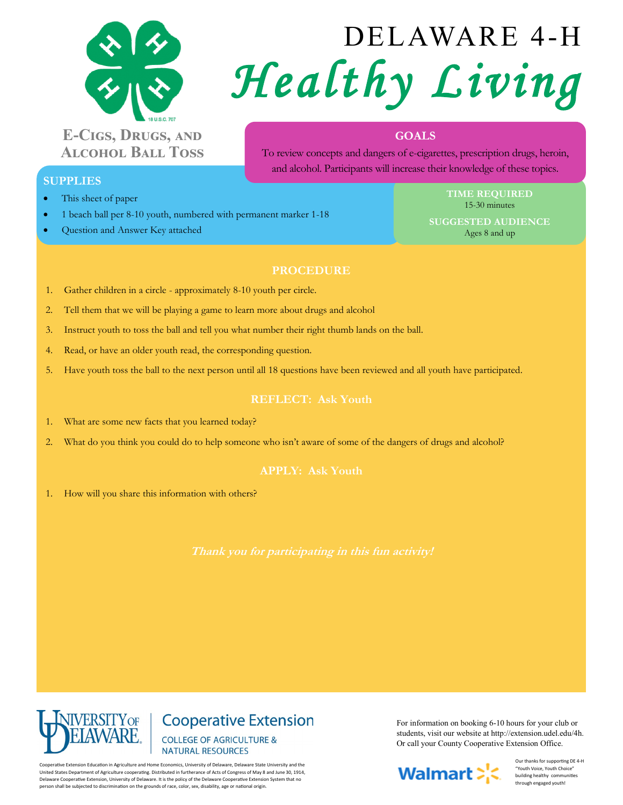

# **E-Cigs, Drugs, and Alcohol Ball Toss**

# DELAWARE 4-H *Healthy Living*

## **GOALS**

To review concepts and dangers of e-cigarettes, prescription drugs, heroin, and alcohol. Participants will increase their knowledge of these topics.

### **SUPPLIES**

- This sheet of paper
- 1 beach ball per 8-10 youth, numbered with permanent marker 1-18
- Question and Answer Key attached

**TIME REQUIRED** 15-30 minutes

**SUGGESTED AUDIENCE** Ages 8 and up

#### **PROCEDURE**

- 1. Gather children in a circle approximately 8-10 youth per circle.
- 2. Tell them that we will be playing a game to learn more about drugs and alcohol
- 3. Instruct youth to toss the ball and tell you what number their right thumb lands on the ball.
- 4. Read, or have an older youth read, the corresponding question.
- 5. Have youth toss the ball to the next person until all 18 questions have been reviewed and all youth have participated.

#### **REFLECT: Ask Youth**

- 1. What are some new facts that you learned today?
- 2. What do you think you could do to help someone who isn't aware of some of the dangers of drugs and alcohol?

1. How will you share this information with others?



**Cooperative Extension COLLEGE OF AGRICULTURE & NATURAL RESOURCES** 

Cooperative Extension Education in Agriculture and Home Economics, University of Delaware, Delaware State University and the United States Department of Agriculture cooperating. Distributed in furtherance of Acts of Congress of May 8 and June 30, 1914, Delaware Cooperative Extension, University of Delaware. It is the policy of the Delaware Cooperative Extension System that no person shall be subjected to discrimination on the grounds of race, color, sex, disability, age or national origin.

For information on booking 6-10 hours for your club or students, visit our website at http://extension.udel.edu/4h. Or call your County Cooperative Extension Office.



Our thanks for supporting DE 4-H "Youth Voice, Youth Choice" building healthy communities through engaged youth!